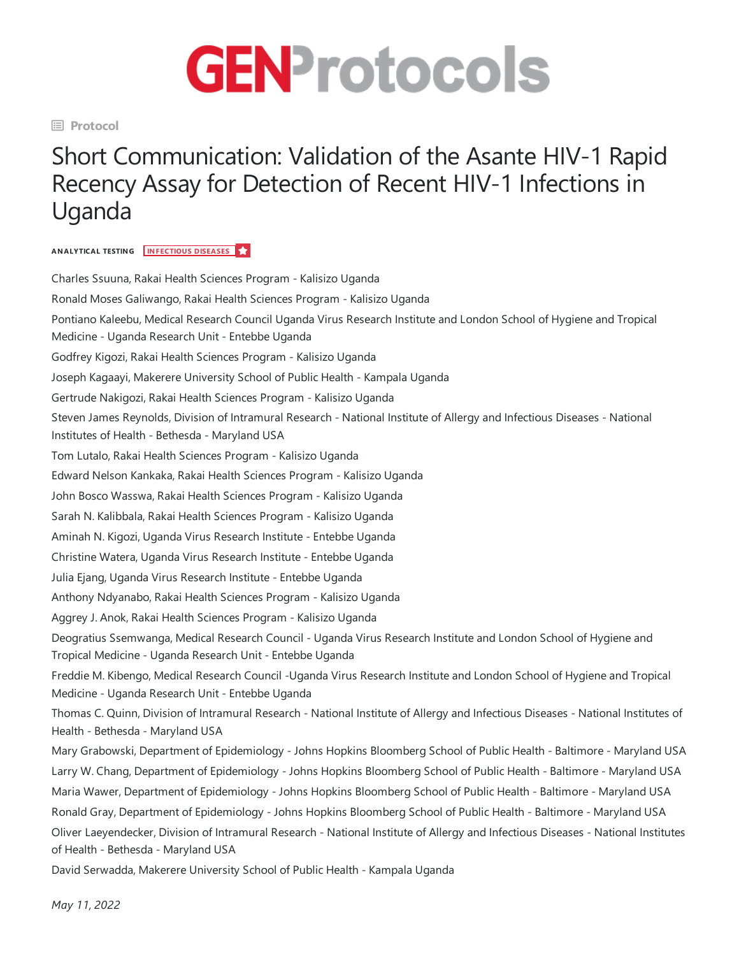

**Protocol**

## Short Communication: Validation of the Asante HIV-1 Rapid Recency Assay for Detection of Recent HIV-1 Infections in Uganda

## **ANALYTICAL TESTING INFECTIOUS DISEASES**

Charles Ssuuna, Rakai Health Sciences Program - Kalisizo Uganda Ronald Moses Galiwango, Rakai Health Sciences Program - Kalisizo Uganda Pontiano Kaleebu, Medical Research Council Uganda Virus Research Institute and London School of Hygiene and Tropical Medicine - Uganda Research Unit - Entebbe Uganda Godfrey Kigozi, Rakai Health Sciences Program - Kalisizo Uganda Joseph Kagaayi, Makerere University School of Public Health - Kampala Uganda Gertrude Nakigozi, Rakai Health Sciences Program - Kalisizo Uganda Steven James Reynolds, Division of Intramural Research - National Institute of Allergy and Infectious Diseases - National Institutes of Health - Bethesda - Maryland USA Tom Lutalo, Rakai Health Sciences Program - Kalisizo Uganda Edward Nelson Kankaka, Rakai Health Sciences Program - Kalisizo Uganda John Bosco Wasswa, Rakai Health Sciences Program - Kalisizo Uganda Sarah N. Kalibbala, Rakai Health Sciences Program - Kalisizo Uganda Aminah N. Kigozi, Uganda Virus Research Institute-Entebbe Uganda Christine Watera, Uganda Virus Research Institute-Entebbe Uganda Julia Ejang, Uganda Virus Research Institute-Entebbe Uganda Anthony Ndyanabo, Rakai Health Sciences Program - Kalisizo Uganda Aggrey J. Anok, Rakai Health Sciences Program - Kalisizo Uganda Deogratius Ssemwanga, Medical Research Council - Uganda Virus Research Institute and London School of Hygiene and Tropical Medicine- Uganda Research Unit -Entebbe Uganda Freddie M. Kibengo, Medical Research Council -Uganda Virus Research Institute and London School of Hygiene and Tropical Medicine- Uganda Research Unit -Entebbe Uganda Thomas C. Quinn, Division of Intramural Research - National Institute of Allergy and Infectious Diseases - National Institutes of Health - Bethesda - Maryland USA Mary Grabowski, Department of Epidemiology - Johns Hopkins Bloomberg School of Public Health - Baltimore- Maryland USA Larry W. Chang, Department of Epidemiology - Johns Hopkins Bloomberg School of Public Health - Baltimore- Maryland USA Maria Wawer, Department of Epidemiology - Johns Hopkins Bloomberg School of Public Health - Baltimore- Maryland USA Ronald Gray, Department of Epidemiology - Johns Hopkins Bloomberg School of Public Health - Baltimore- Maryland USA Oliver Laeyendecker, Division of Intramural Research - National Institute of Allergy and Infectious Diseases - National Institutes of Health - Bethesda - Maryland USA

David Serwadda, Makerere University School of Public Health - Kampala Uganda

*May 11, 2022*